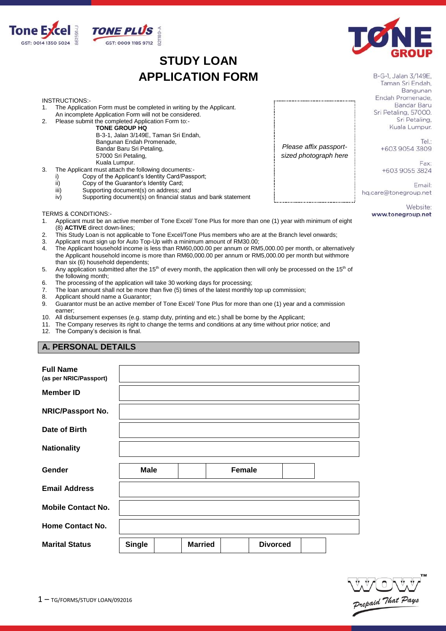

# **STUDY LOAN APPLICATION FORM**



B-G-1, Jalan 3/149E, Taman Sri Endah, Bangunan Endah Promenade. Bandar Baru Sri Petaling, 57000. Sri Petaling, Kuala Lumpur.

> Tel: +603 9054 3809

Fay: +603 9055 3824

Email: hq.care@tonegroup.net

*Please affix passportsized photograph here*

> Website: www.tonegroup.net

#### INSTRUCTIONS:-

- 1. The Application Form must be completed in writing by the Applicant.
- An incomplete Application Form will not be considered. 2. Please submit the completed Application Form to:-

**TONE GROUP HQ**

B-3-1, Jalan 3/149E, Taman Sri Endah, Bangunan Endah Promenade, Bandar Baru Sri Petaling, 57000 Sri Petaling, Kuala Lumpur.

3. The Applicant must attach the following documents:-

- i) Copy of the Applicant's Identity Card/Passport;<br>ii) Copy of the Guarantor's Identity Card;
- Copy of the Guarantor's Identity Card;
- iii) Supporting document(s) on address; and<br>iv) Supporting document(s) on financial statu
- Supporting document(s) on financial status and bank statement

#### TERMS & CONDITIONS:-

- 1. Applicant must be an active member of Tone Excel/ Tone Plus for more than one (1) year with minimum of eight (8) **ACTIVE** direct down-lines;
- 2. This Study Loan is not applicable to Tone Excel/Tone Plus members who are at the Branch level onwards;<br>3. Applicant must sign up for Auto Top-Up with a minimum amount of RM30.00:
- 3. Applicant must sign up for Auto Top-Up with a minimum amount of RM30.00;<br>4. The Applicant household income is less than RM60.000.00 per annum or RM
- 4. The Applicant household income is less than RM60,000.00 per annum or RM5,000.00 per month, or alternatively the Applicant household income is more than RM60,000.00 per annum or RM5,000.00 per month but withmore than six (6) household dependents;
- 5. Any application submitted after the 15<sup>th</sup> of every month, the application then will only be processed on the 15<sup>th</sup> of the following month;
- 6. The processing of the application will take 30 working days for processing;<br>7. The loan amount shall not be more than five (5) times of the latest monthly
- The loan amount shall not be more than five (5) times of the latest monthly top up commission;
- 8. Applicant should name a Guarantor;
- 9. Guarantor must be an active member of Tone Excel/ Tone Plus for more than one (1) year and a commission earner;
- 10. All disbursement expenses (e.g. stamp duty, printing and etc.) shall be borne by the Applicant;
- 11. The Company reserves its right to change the terms and conditions at any time without prior notice; and

12. The Company's decision is final.

## **A. PERSONAL DETAILS**

| <b>Full Name</b><br>(as per NRIC/Passport) |               |                |               |                 |  |
|--------------------------------------------|---------------|----------------|---------------|-----------------|--|
| <b>Member ID</b>                           |               |                |               |                 |  |
| <b>NRIC/Passport No.</b>                   |               |                |               |                 |  |
| Date of Birth                              |               |                |               |                 |  |
| <b>Nationality</b>                         |               |                |               |                 |  |
| Gender                                     | <b>Male</b>   |                | <b>Female</b> |                 |  |
| <b>Email Address</b>                       |               |                |               |                 |  |
| <b>Mobile Contact No.</b>                  |               |                |               |                 |  |
| <b>Home Contact No.</b>                    |               |                |               |                 |  |
| <b>Marital Status</b>                      | <b>Single</b> | <b>Married</b> |               | <b>Divorced</b> |  |

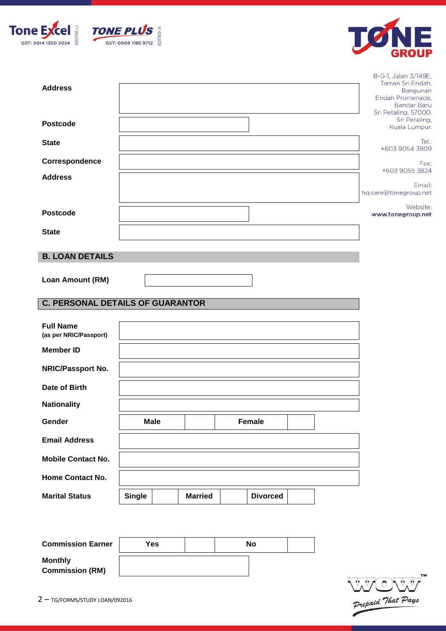





| <b>Address</b><br><b>Postcode</b>          |               |                |                 |  | B-G-1, Jalan 3/149E,<br>Taman Sri Endah,<br>Bangunan<br>Endah Promenade,<br><b>Bandar Baru</b><br>Sri Petaling, 57000.<br>Sri Petaling,<br>Kuala Lumpur. |
|--------------------------------------------|---------------|----------------|-----------------|--|----------------------------------------------------------------------------------------------------------------------------------------------------------|
| <b>State</b>                               |               |                |                 |  | Tel.:<br>+603 9054 3809                                                                                                                                  |
| Correspondence                             |               |                |                 |  | Fax:                                                                                                                                                     |
| <b>Address</b>                             |               |                |                 |  | +603 9055 3824                                                                                                                                           |
|                                            |               |                |                 |  | Email:<br>hq.care@tonegroup.net                                                                                                                          |
| <b>Postcode</b>                            |               |                |                 |  | Website:<br>www.tonegroup.net                                                                                                                            |
| <b>State</b>                               |               |                |                 |  |                                                                                                                                                          |
| <b>B. LOAN DETAILS</b>                     |               |                |                 |  |                                                                                                                                                          |
| Loan Amount (RM)                           |               |                |                 |  |                                                                                                                                                          |
| <b>C. PERSONAL DETAILS OF GUARANTOR</b>    |               |                |                 |  |                                                                                                                                                          |
| <b>Full Name</b><br>(as per NRIC/Passport) |               |                |                 |  |                                                                                                                                                          |
| <b>Member ID</b>                           |               |                |                 |  |                                                                                                                                                          |
| NRIC/Passport No.                          |               |                |                 |  |                                                                                                                                                          |
| Date of Birth                              |               |                |                 |  |                                                                                                                                                          |
| <b>Nationality</b>                         |               |                |                 |  |                                                                                                                                                          |
| Gender                                     | <b>Male</b>   |                | Female          |  |                                                                                                                                                          |
| <b>Email Address</b>                       |               |                |                 |  |                                                                                                                                                          |
| <b>Mobile Contact No.</b>                  |               |                |                 |  |                                                                                                                                                          |
| Home Contact No.                           |               |                |                 |  |                                                                                                                                                          |
| <b>Marital Status</b>                      | <b>Single</b> | <b>Married</b> | <b>Divorced</b> |  |                                                                                                                                                          |

| <b>Commission Earner</b>                 | Yes | No |  |
|------------------------------------------|-----|----|--|
| <b>Monthly</b><br><b>Commission (RM)</b> |     |    |  |

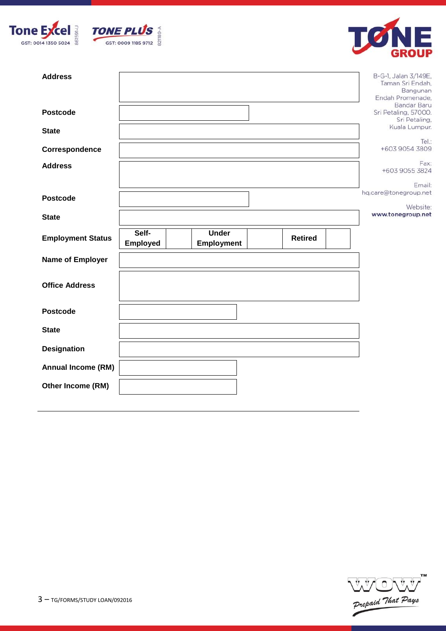





| <b>Postcode</b><br>Sri Petaling, 57000.<br>Sri Petaling,<br>Kuala Lumpur.<br><b>State</b><br>Tel:<br>+603 9054 3809<br>Correspondence<br>Fax:<br><b>Address</b><br>+603 9055 3824<br>Email:<br>hq.care@tonegroup.net<br><b>Postcode</b><br>Website:<br>www.tonegroup.net<br><b>State</b><br>Self-<br><b>Under</b><br><b>Employment Status</b><br><b>Retired</b><br>Employed<br><b>Employment</b><br><b>Name of Employer</b><br><b>Office Address</b><br><b>Postcode</b><br><b>State</b><br><b>Designation</b><br><b>Annual Income (RM)</b><br>Other Income (RM) | <b>Address</b> |  |  |  | B-G-1, Jalan 3/149E,<br>Taman Sri Endah.<br>Bangunan<br>Endah Promenade, |
|-----------------------------------------------------------------------------------------------------------------------------------------------------------------------------------------------------------------------------------------------------------------------------------------------------------------------------------------------------------------------------------------------------------------------------------------------------------------------------------------------------------------------------------------------------------------|----------------|--|--|--|--------------------------------------------------------------------------|
|                                                                                                                                                                                                                                                                                                                                                                                                                                                                                                                                                                 |                |  |  |  | <b>Bandar Baru</b>                                                       |
|                                                                                                                                                                                                                                                                                                                                                                                                                                                                                                                                                                 |                |  |  |  |                                                                          |
|                                                                                                                                                                                                                                                                                                                                                                                                                                                                                                                                                                 |                |  |  |  |                                                                          |
|                                                                                                                                                                                                                                                                                                                                                                                                                                                                                                                                                                 |                |  |  |  |                                                                          |
|                                                                                                                                                                                                                                                                                                                                                                                                                                                                                                                                                                 |                |  |  |  |                                                                          |
|                                                                                                                                                                                                                                                                                                                                                                                                                                                                                                                                                                 |                |  |  |  |                                                                          |
|                                                                                                                                                                                                                                                                                                                                                                                                                                                                                                                                                                 |                |  |  |  |                                                                          |
|                                                                                                                                                                                                                                                                                                                                                                                                                                                                                                                                                                 |                |  |  |  |                                                                          |
|                                                                                                                                                                                                                                                                                                                                                                                                                                                                                                                                                                 |                |  |  |  |                                                                          |
|                                                                                                                                                                                                                                                                                                                                                                                                                                                                                                                                                                 |                |  |  |  |                                                                          |
|                                                                                                                                                                                                                                                                                                                                                                                                                                                                                                                                                                 |                |  |  |  |                                                                          |
|                                                                                                                                                                                                                                                                                                                                                                                                                                                                                                                                                                 |                |  |  |  |                                                                          |
|                                                                                                                                                                                                                                                                                                                                                                                                                                                                                                                                                                 |                |  |  |  |                                                                          |
|                                                                                                                                                                                                                                                                                                                                                                                                                                                                                                                                                                 |                |  |  |  |                                                                          |
|                                                                                                                                                                                                                                                                                                                                                                                                                                                                                                                                                                 |                |  |  |  |                                                                          |

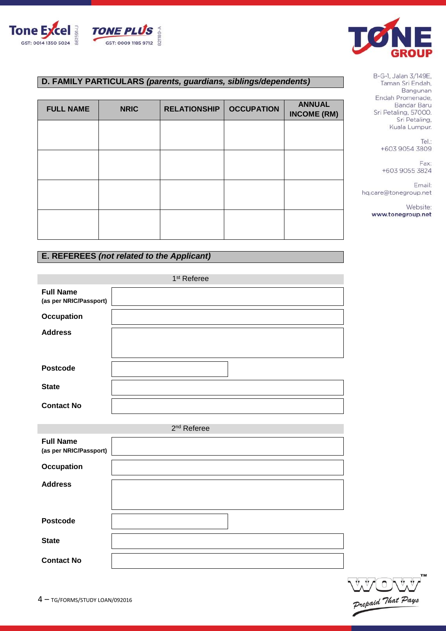



# **D. FAMILY PARTICULARS** *(parents, guardians, siblings/dependents)*

| <b>FULL NAME</b> | <b>NRIC</b> | <b>RELATIONSHIP</b> | <b>OCCUPATION</b> | <b>ANNUAL</b><br><b>INCOME (RM)</b> |
|------------------|-------------|---------------------|-------------------|-------------------------------------|
|                  |             |                     |                   |                                     |
|                  |             |                     |                   |                                     |
|                  |             |                     |                   |                                     |
|                  |             |                     |                   |                                     |
|                  |             |                     |                   |                                     |

# **E. REFEREES** *(not related to the Applicant)*

|                                            | 1 <sup>st</sup> Referee |
|--------------------------------------------|-------------------------|
| <b>Full Name</b><br>(as per NRIC/Passport) |                         |
| <b>Occupation</b>                          |                         |
| <b>Address</b>                             |                         |
|                                            |                         |
| <b>Postcode</b>                            |                         |
| <b>State</b>                               |                         |
| <b>Contact No</b>                          |                         |
|                                            |                         |
|                                            | 2 <sup>nd</sup> Referee |
| <b>Full Name</b><br>(as per NRIC/Passport) |                         |
| <b>Occupation</b>                          |                         |
| <b>Address</b>                             |                         |
|                                            |                         |
| <b>Postcode</b>                            |                         |
| <b>State</b>                               |                         |
| <b>Contact No</b>                          |                         |

Tel.: +603 9054 3809

Fax: +603 9055 3824

Email: hq.care@tonegroup.net

> Website: www.tonegroup.net

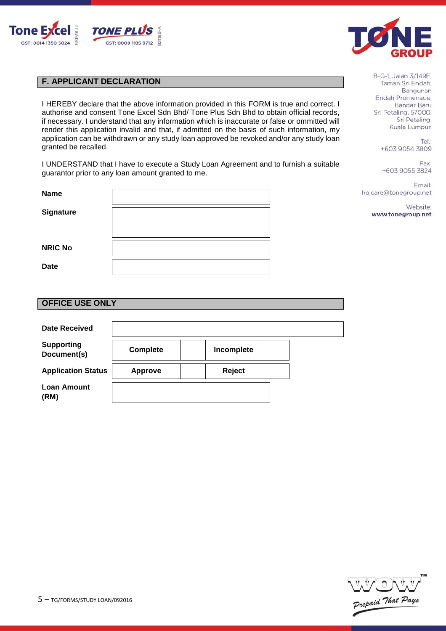



# **F. APPLICANT DECLARATION**

I HEREBY declare that the above information provided in this FORM is true and correct. I authorise and consent Tone Excel Sdn Bhd/ Tone Plus Sdn Bhd to obtain official records, if necessary. I understand that any information which is inaccurate or false or ommitted will render this application invalid and that, if admitted on the basis of such information, my application can be withdrawn or any study loan approved be revoked and/or any study loan granted be recalled.

I UNDERSTAND that I have to execute a Study Loan Agreement and to furnish a suitable guarantor prior to any loan amount granted to me.

| <b>Name</b>    |  |
|----------------|--|
|                |  |
| Signature      |  |
|                |  |
|                |  |
| <b>NRIC No</b> |  |
|                |  |
| <b>Date</b>    |  |
|                |  |

| B-G-1, Jalan 3/149E, |
|----------------------|
| Taman Sri Endah,     |
| Bangunan             |
| Endah Promenade,     |
| <b>Bandar Baru</b>   |
| Sri Petaling, 57000. |
| Sri Petaling,        |
| Kuala Lumpur         |

Tel.: +603 9054 3809

Fax: +603 9055 3824

Email: hq.care@tonegroup.net

> Website: www.tonegroup.net

# **OFFICE USE ONLY**

| Date Received                    |                 |            |  |
|----------------------------------|-----------------|------------|--|
| <b>Supporting</b><br>Document(s) | <b>Complete</b> | Incomplete |  |
| <b>Application Status</b>        | <b>Approve</b>  | Reject     |  |
| <b>Loan Amount</b><br>(RM)       |                 |            |  |

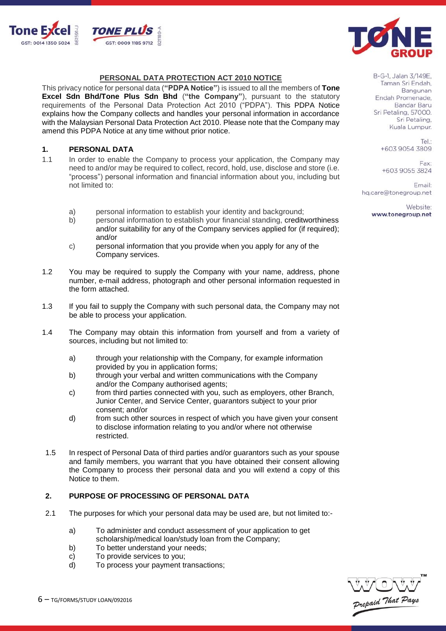



#### **PERSONAL DATA PROTECTION ACT 2010 NOTICE**

This privacy notice for personal data (**"PDPA Notice"**) is issued to all the members of **Tone Excel Sdn Bhd/Tone Plus Sdn Bhd** (**"the Company"**), pursuant to the statutory requirements of the Personal Data Protection Act 2010 ("PDPA"). This PDPA Notice explains how the Company collects and handles your personal information in accordance with the Malaysian Personal Data Protection Act 2010. Please note that the Company may amend this PDPA Notice at any time without prior notice.

#### **1. PERSONAL DATA**

- 1.1 In order to enable the Company to process your application, the Company may need to and/or may be required to collect, record, hold, use, disclose and store (i.e. "process") personal information and financial information about you, including but not limited to:
	- a) personal information to establish your identity and background;
	- b) personal information to establish your financial standing, creditworthiness and/or suitability for any of the Company services applied for (if required); and/or
	- c) personal information that you provide when you apply for any of the Company services.
- 1.2 You may be required to supply the Company with your name, address, phone number, e-mail address, photograph and other personal information requested in the form attached.
- 1.3 If you fail to supply the Company with such personal data, the Company may not be able to process your application.
- 1.4 The Company may obtain this information from yourself and from a variety of sources, including but not limited to:
	- a) through your relationship with the Company, for example information provided by you in application forms;
	- b) through your verbal and written communications with the Company and/or the Company authorised agents;
	- c) from third parties connected with you, such as employers, other Branch, Junior Center, and Service Center, guarantors subject to your prior consent; and/or
	- d) from such other sources in respect of which you have given your consent to disclose information relating to you and/or where not otherwise restricted.
- 1.5 In respect of Personal Data of third parties and/or guarantors such as your spouse and family members, you warrant that you have obtained their consent allowing the Company to process their personal data and you will extend a copy of this Notice to them.

# **2. PURPOSE OF PROCESSING OF PERSONAL DATA**

- 2.1 The purposes for which your personal data may be used are, but not limited to:
	- a) To administer and conduct assessment of your application to get
	- scholarship/medical loan/study loan from the Company;
	- b) To better understand your needs;
	- c) To provide services to you;
	- d) To process your payment transactions;



B-G-1, Jalan 3/149E, Taman Sri Endah, Bangunan Endah Promenade. Bandar Baru Sri Petaling, 57000. Sri Petaling, Kuala Lumpur.

> Tel: +603 9054 3809

Fax: +603 9055 3824

Email: hq.care@tonegroup.net

> Website: www.tonegroup.net